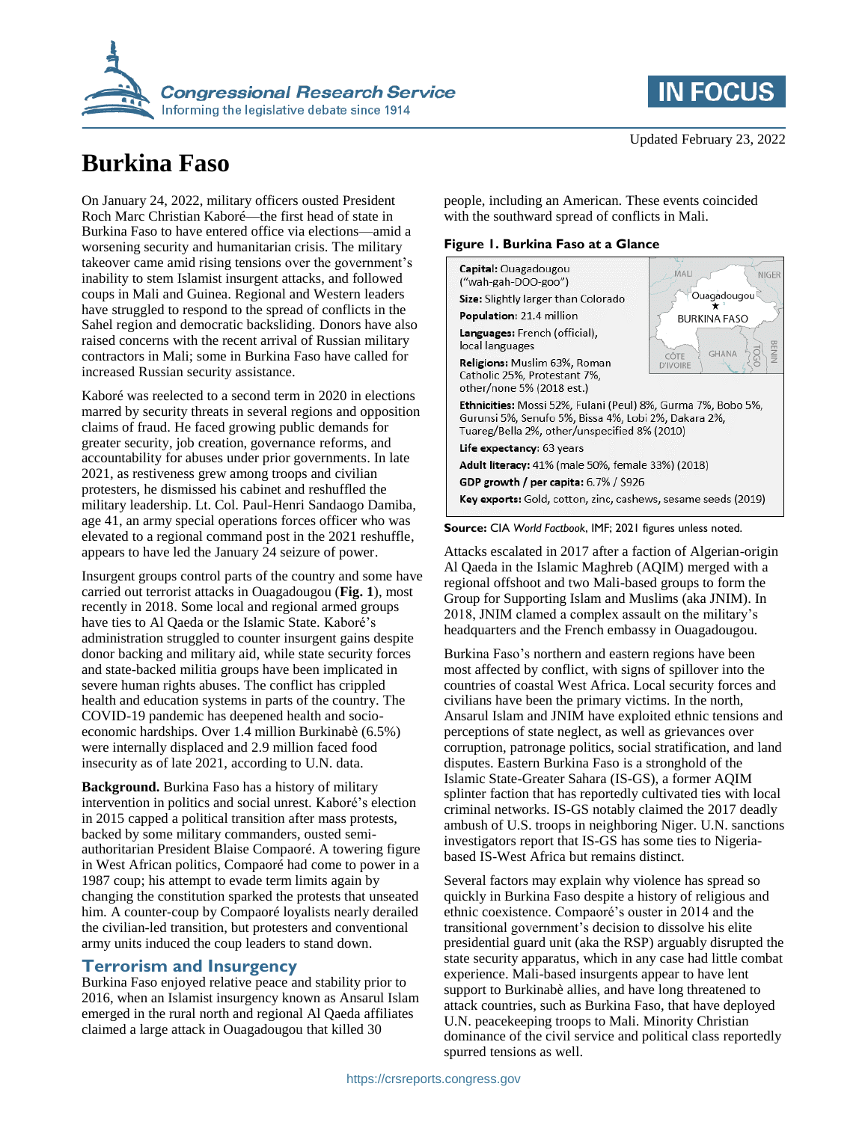

# **Burkina Faso**

On January 24, 2022, military officers ousted President Roch Marc Christian Kaboré—the first head of state in Burkina Faso to have entered office via elections—amid a worsening security and humanitarian crisis. The military takeover came amid rising tensions over the government's inability to stem Islamist insurgent attacks, and followed coups in Mali and Guinea. Regional and Western leaders have struggled to respond to the spread of conflicts in the Sahel region and democratic backsliding. Donors have also raised concerns with the recent arrival of Russian military contractors in Mali; some in Burkina Faso have called for increased Russian security assistance.

Kaboré was reelected to a second term in 2020 in elections marred by security threats in several regions and opposition claims of fraud. He faced growing public demands for greater security, job creation, governance reforms, and accountability for abuses under prior governments. In late 2021, as restiveness grew among troops and civilian protesters, he dismissed his cabinet and reshuffled the military leadership. Lt. Col. Paul-Henri Sandaogo Damiba, age 41, an army special operations forces officer who was elevated to a regional command post in the 2021 reshuffle, appears to have led the January 24 seizure of power.

Insurgent groups control parts of the country and some have carried out terrorist attacks in Ouagadougou (**Fig. 1**), most recently in 2018. Some local and regional armed groups have ties to Al Qaeda or the Islamic State. Kaboré's administration struggled to counter insurgent gains despite donor backing and military aid, while state security forces and state-backed militia groups have been implicated in severe human rights abuses. The conflict has crippled health and education systems in parts of the country. The COVID-19 pandemic has deepened health and socioeconomic hardships. Over 1.4 million Burkinabè (6.5%) were internally displaced and 2.9 million faced food insecurity as of late 2021, according to U.N. data.

**Background.** Burkina Faso has a history of military intervention in politics and social unrest. Kaboré's election in 2015 capped a political transition after mass protests, backed by some military commanders, ousted semiauthoritarian President Blaise Compaoré. A towering figure in West African politics, Compaoré had come to power in a 1987 coup; his attempt to evade term limits again by changing the constitution sparked the protests that unseated him. A counter-coup by Compaoré loyalists nearly derailed the civilian-led transition, but protesters and conventional army units induced the coup leaders to stand down.

### **Terrorism and Insurgency**

Burkina Faso enjoyed relative peace and stability prior to 2016, when an Islamist insurgency known as Ansarul Islam emerged in the rural north and regional Al Qaeda affiliates claimed a large attack in Ouagadougou that killed 30



people, including an American. These events coincided with the southward spread of conflicts in Mali.

#### **Figure 1. Burkina Faso at a Glance**





Attacks escalated in 2017 after a faction of Algerian-origin Al Qaeda in the Islamic Maghreb (AQIM) merged with a regional offshoot and two Mali-based groups to form the Group for Supporting Islam and Muslims (aka JNIM). In 2018, JNIM clamed a complex assault on the military's headquarters and the French embassy in Ouagadougou.

Burkina Faso's northern and eastern regions have been most affected by conflict, with signs of spillover into the countries of coastal West Africa. Local security forces and civilians have been the primary victims. In the north, Ansarul Islam and JNIM have exploited ethnic tensions and perceptions of state neglect, as well as grievances over corruption, patronage politics, social stratification, and land disputes. Eastern Burkina Faso is a stronghold of the Islamic State-Greater Sahara (IS-GS), a former AQIM splinter faction that has reportedly cultivated ties with local criminal networks. IS-GS notably claimed the 2017 deadly ambush of U.S. troops in neighboring Niger. U.N. sanctions investigators report that IS-GS has some ties to Nigeriabased IS-West Africa but remains distinct.

Several factors may explain why violence has spread so quickly in Burkina Faso despite a history of religious and ethnic coexistence. Compaoré's ouster in 2014 and the transitional government's decision to dissolve his elite presidential guard unit (aka the RSP) arguably disrupted the state security apparatus, which in any case had little combat experience. Mali-based insurgents appear to have lent support to Burkinabè allies, and have long threatened to attack countries, such as Burkina Faso, that have deployed U.N. peacekeeping troops to Mali. Minority Christian dominance of the civil service and political class reportedly spurred tensions as well.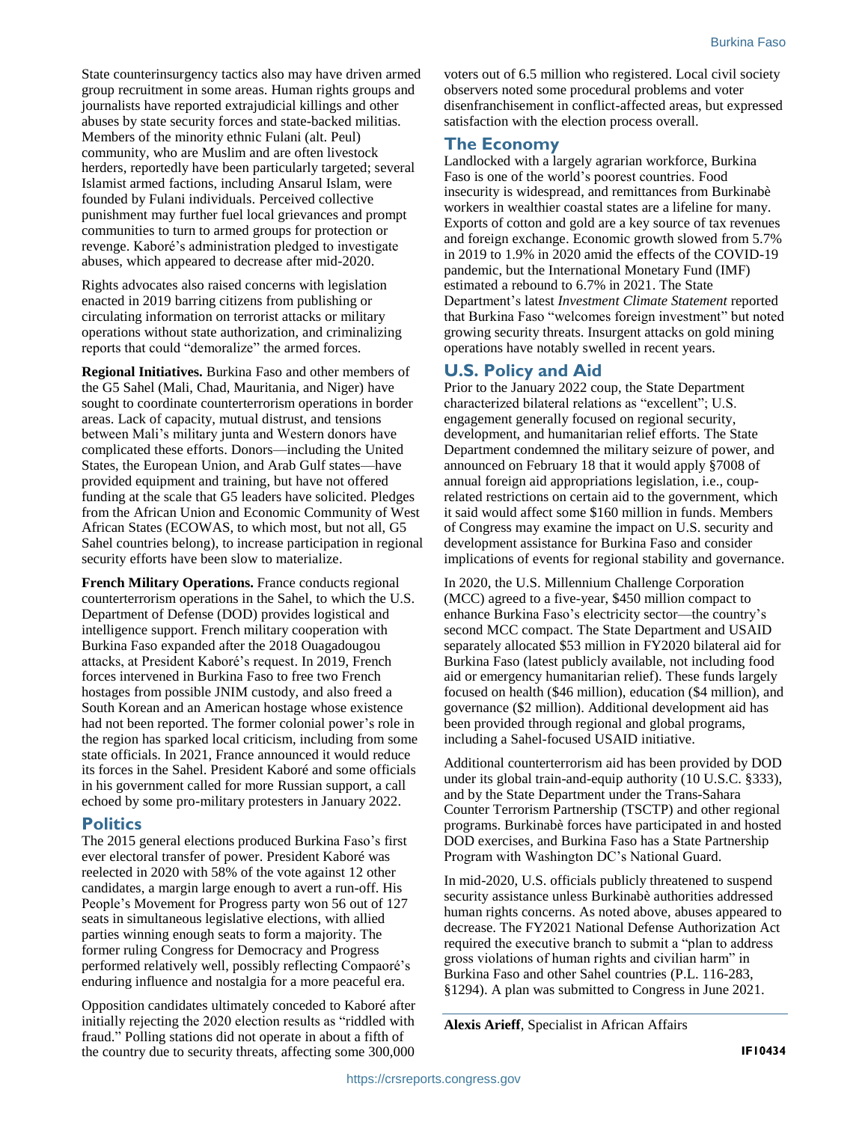State counterinsurgency tactics also may have driven armed group recruitment in some areas. Human rights groups and journalists have reported extrajudicial killings and other abuses by state security forces and state-backed militias. Members of the minority ethnic Fulani (alt. Peul) community, who are Muslim and are often livestock herders, reportedly have been particularly targeted; several Islamist armed factions, including Ansarul Islam, were founded by Fulani individuals. Perceived collective punishment may further fuel local grievances and prompt communities to turn to armed groups for protection or revenge. Kaboré's administration pledged to investigate abuses, which appeared to decrease after mid-2020.

Rights advocates also raised concerns with legislation enacted in 2019 barring citizens from publishing or circulating information on terrorist attacks or military operations without state authorization, and criminalizing reports that could "demoralize" the armed forces.

**Regional Initiatives.** Burkina Faso and other members of the G5 Sahel (Mali, Chad, Mauritania, and Niger) have sought to coordinate counterterrorism operations in border areas. Lack of capacity, mutual distrust, and tensions between Mali's military junta and Western donors have complicated these efforts. Donors—including the United States, the European Union, and Arab Gulf states—have provided equipment and training, but have not offered funding at the scale that G5 leaders have solicited. Pledges from the African Union and Economic Community of West African States (ECOWAS, to which most, but not all, G5 Sahel countries belong), to increase participation in regional security efforts have been slow to materialize.

**French Military Operations.** France conducts regional counterterrorism operations in the Sahel, to which the U.S. Department of Defense (DOD) provides logistical and intelligence support. French military cooperation with Burkina Faso expanded after the 2018 Ouagadougou attacks, at President Kaboré's request. In 2019, French forces intervened in Burkina Faso to free two French hostages from possible JNIM custody, and also freed a South Korean and an American hostage whose existence had not been reported. The former colonial power's role in the region has sparked local criticism, including from some state officials. In 2021, France announced it would reduce its forces in the Sahel. President Kaboré and some officials in his government called for more Russian support, a call echoed by some pro-military protesters in January 2022.

#### **Politics**

The 2015 general elections produced Burkina Faso's first ever electoral transfer of power. President Kaboré was reelected in 2020 with 58% of the vote against 12 other candidates, a margin large enough to avert a run-off. His People's Movement for Progress party won 56 out of 127 seats in simultaneous legislative elections, with allied parties winning enough seats to form a majority. The former ruling Congress for Democracy and Progress performed relatively well, possibly reflecting Compaoré's enduring influence and nostalgia for a more peaceful era.

Opposition candidates ultimately conceded to Kaboré after initially rejecting the 2020 election results as "riddled with fraud." Polling stations did not operate in about a fifth of the country due to security threats, affecting some 300,000 voters out of 6.5 million who registered. Local civil society observers noted some procedural problems and voter disenfranchisement in conflict-affected areas, but expressed satisfaction with the election process overall.

#### **The Economy**

Landlocked with a largely agrarian workforce, Burkina Faso is one of the world's poorest countries. Food insecurity is widespread, and remittances from Burkinabè workers in wealthier coastal states are a lifeline for many. Exports of cotton and gold are a key source of tax revenues and foreign exchange. Economic growth slowed from 5.7% in 2019 to 1.9% in 2020 amid the effects of the COVID-19 pandemic, but the International Monetary Fund (IMF) estimated a rebound to 6.7% in 2021. The State Department's latest *Investment Climate Statement* reported that Burkina Faso "welcomes foreign investment" but noted growing security threats. Insurgent attacks on gold mining operations have notably swelled in recent years.

#### **U.S. Policy and Aid**

Prior to the January 2022 coup, the State Department characterized bilateral relations as "excellent"; U.S. engagement generally focused on regional security, development, and humanitarian relief efforts. The State Department condemned the military seizure of power, and announced on February 18 that it would apply §7008 of annual foreign aid appropriations legislation, i.e., couprelated restrictions on certain aid to the government, which it said would affect some \$160 million in funds. Members of Congress may examine the impact on U.S. security and development assistance for Burkina Faso and consider implications of events for regional stability and governance.

In 2020, the U.S. Millennium Challenge Corporation (MCC) agreed to a five-year, \$450 million compact to enhance Burkina Faso's electricity sector—the country's second MCC compact. The State Department and USAID separately allocated \$53 million in FY2020 bilateral aid for Burkina Faso (latest publicly available, not including food aid or emergency humanitarian relief). These funds largely focused on health (\$46 million), education (\$4 million), and governance (\$2 million). Additional development aid has been provided through regional and global programs, including a Sahel-focused USAID initiative.

Additional counterterrorism aid has been provided by DOD under its global train-and-equip authority (10 U.S.C. §333), and by the State Department under the Trans-Sahara Counter Terrorism Partnership (TSCTP) and other regional programs. Burkinabè forces have participated in and hosted DOD exercises, and Burkina Faso has a State Partnership Program with Washington DC's National Guard.

In mid-2020, U.S. officials publicly threatened to suspend security assistance unless Burkinabè authorities addressed human rights concerns. As noted above, abuses appeared to decrease. The FY2021 National Defense Authorization Act required the executive branch to submit a "plan to address gross violations of human rights and civilian harm" in Burkina Faso and other Sahel countries (P.L. 116-283, §1294). A plan was submitted to Congress in June 2021.

**Alexis Arieff**, Specialist in African Affairs